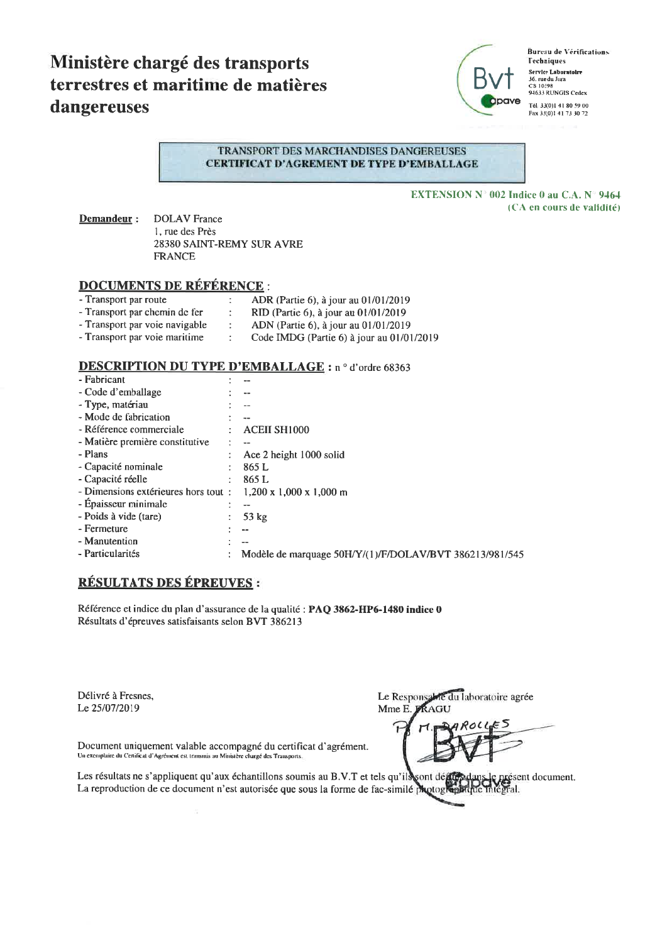# Ministère chargé des transports terrestres et maritime de matières dangereuses



**Bureau de Vérifications Techniques** Service Laboratoire<br>36. rue du Jura<br>CS 10398 94633 RUNGIS Cedex Tél. 33(0)1.41.80.59.00 Fax 33(0)1 41 73 30 72

#### TRANSPORT DES MARCHANDISES DANGEREUSES **CERTIFICAT D'AGREMENT DE TYPE D'EMBALLAGE**

**EXTENSION N° 002 Indice 0 au C.A. N° 9464** (CA en cours de validité)

Demandeur: **DOLAV** France 1, rue des Près 28380 SAINT-REMY SUR AVRE **FRANCE** 

# **DOCUMENTS DE RÉFÉRENCE:**

| - Transport par route          | ADR (Partie 6), à jour au 01/01/2019        |
|--------------------------------|---------------------------------------------|
| - Transport par chemin de fer  | RID (Partie 6), à jour au 01/01/2019        |
| - Transport par voie navigable | ADN (Partie 6), à jour au 01/01/2019        |
| - Transport par voie maritime  | Code IMDG (Partie 6) à jour au $01/01/2019$ |

## **DESCRIPTION DU TYPE D'EMBALLAGE : n ° d'ordre 68363**

| - Fabricant                          |                                                         |
|--------------------------------------|---------------------------------------------------------|
| - Code d'emballage                   |                                                         |
| - Type, matériau                     |                                                         |
| - Mode de fabrication                |                                                         |
| - Référence commerciale              | <b>ACEII SH1000</b>                                     |
| - Matière première constitutive      | $-$                                                     |
| - Plans                              | Ace 2 height 1000 solid                                 |
| - Capacité nominale                  | 865 L                                                   |
| - Capacité réelle                    | 865 L                                                   |
| - Dimensions extérieures hors tout : | $1,200 \times 1,000 \times 1,000 \text{ m}$             |
| - Epaisseur minimale                 |                                                         |
| - Poids à vide (tare)                | 53 $kg$                                                 |
| - Fermeture                          | $- -$                                                   |
| - Manutention                        |                                                         |
| - Particularités                     | Modèle de marquage 50H/Y/(1)/F/DOLAV/BVT 386213/981/545 |
|                                      |                                                         |

# RÉSULTATS DES ÉPREUVES :

Référence et indice du plan d'assurance de la qualité : PAQ 3862-HP6-1480 indice 0 Résultats d'épreuves satisfaisants selon BVT 386213

Délivré à Fresnes, Le 25/07/2019

Le Responsable du laboratoire agrée Mme E. FRAGU

4 ROL ť

Document uniquement valable accompagné du certificat d'agrément. Un exemplaire du Certificat d'Agrément est transmis au Ministère chargé des Transports

Les résultats ne s'appliquent qu'aux échantillons soumis au B.V.T et tels qu'ils sont déf présent document. La reproduction de ce document n'est autorisée que sous la forme de fac-similé photogle etal.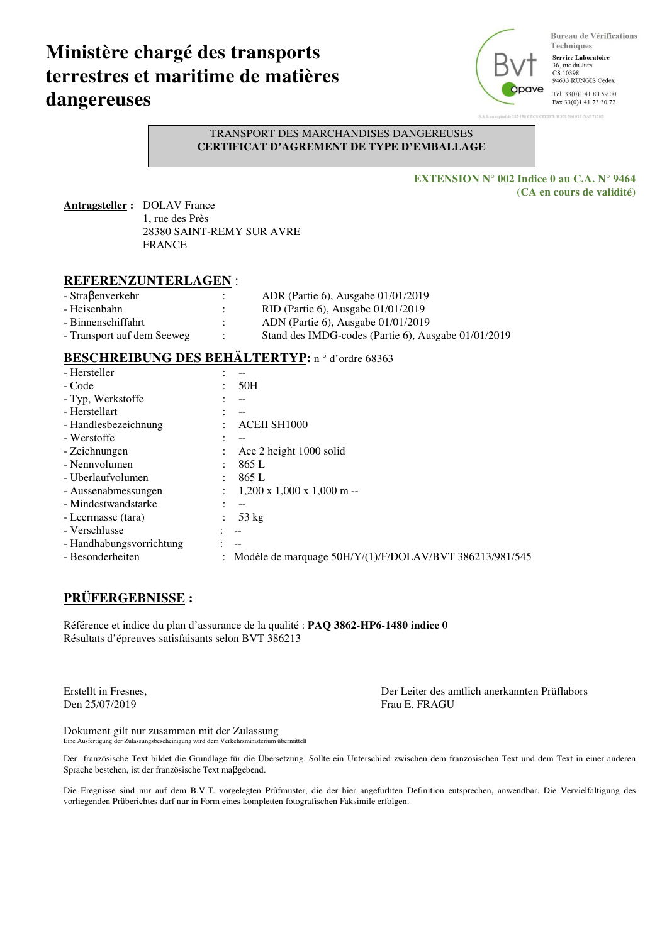# **Ministère chargé des transports terrestres et maritime de matières dangereuses**



**Bureau de Vérifications** Techniques **Service Laboratoire** 36, rue du Jura<br>CS 10398

94633 RUNGIS Cedex

Tél. 33(0)1 41 80 59 00 Fax 33(0)1 41 73 30 72

B 309 306 918 NAF 7120B

#### TRANSPORT DES MARCHANDISES DANGEREUSES **CERTIFICAT D'AGREMENT DE TYPE D'EMBALLAGE**

**EXTENSION N° 002 Indice 0 au C.A. N° 9464 (CA en cours de validité)** 

**Antragsteller :** DOLAV France 1, rue des Près 28380 SAINT-REMY SUR AVRE FRANCE

## **REFERENZUNTERLAGEN** :

| - Straßenverkehr           | ADR (Partie 6), Ausgabe 01/01/2019                  |
|----------------------------|-----------------------------------------------------|
| - Heisenbahn               | RID (Partie 6), Ausgabe $01/01/2019$                |
| - Binnenschiffahrt         | ADN (Partie 6), Ausgabe $01/01/2019$                |
| - Transport auf dem Seeweg | Stand des IMDG-codes (Partie 6), Ausgabe 01/01/2019 |

# BESCHREIBUNG DES BEHÄLTERTYP: n<sup>o</sup> d'ordre 68363

| - Hersteller                               |                                                         |
|--------------------------------------------|---------------------------------------------------------|
| - Code                                     | 50H                                                     |
| - Typ, Werkstoffe                          | --                                                      |
| - Herstellart                              |                                                         |
| - Handlesbezeichnung                       | <b>ACEII SH1000</b>                                     |
| - Werstoffe                                |                                                         |
| - Zeichnungen                              | Ace 2 height 1000 solid                                 |
| - Nennyolumen<br>$\ddot{\phantom{0}}$      | 865 L                                                   |
| - Uberlaufvolumen<br>$\ddot{\phantom{0}}$  | 865 L                                                   |
| - Aussenabmessungen<br>$\bullet$           | $1,200 \times 1,000 \times 1,000 \text{ m}$ --          |
| - Mindestwandstarke                        | --                                                      |
| - Leermasse (tara)<br>$\ddot{\phantom{a}}$ | $53 \text{ kg}$                                         |
| - Verschlusse                              | $-$                                                     |
| - Handhabungsvorrichtung                   | $- -$                                                   |
| - Besonderheiten                           | Modèle de marquage 50H/Y/(1)/F/DOLAV/BVT 386213/981/545 |

# **PRÜFERGEBNISSE :**

Référence et indice du plan d'assurance de la qualité : **PAQ 3862-HP6-1480 indice 0** Résultats d'épreuves satisfaisants selon BVT 386213

Den 25/07/2019 Frau E. FRAGU

Erstellt in Fresnes, Der Leiter des amtlich anerkannten Prüflabors

Dokument gilt nur zusammen mit der Zulassung Eine Ausfertigung der Zulassungsbescheinigung wird dem Verkehrsministerium übermittelt

Der französische Text bildet die Grundlage für die Übersetzung. Sollte ein Unterschied zwischen dem französischen Text und dem Text in einer anderen Sprache bestehen, ist der französische Text maβgebend.

Die Eregnisse sind nur auf dem B.V.T. vorgelegten Prûfmuster, die der hier angefürhten Definition eutsprechen, anwendbar. Die Vervielfaltigung des vorliegenden Prüberichtes darf nur in Form eines kompletten fotografischen Faksimile erfolgen.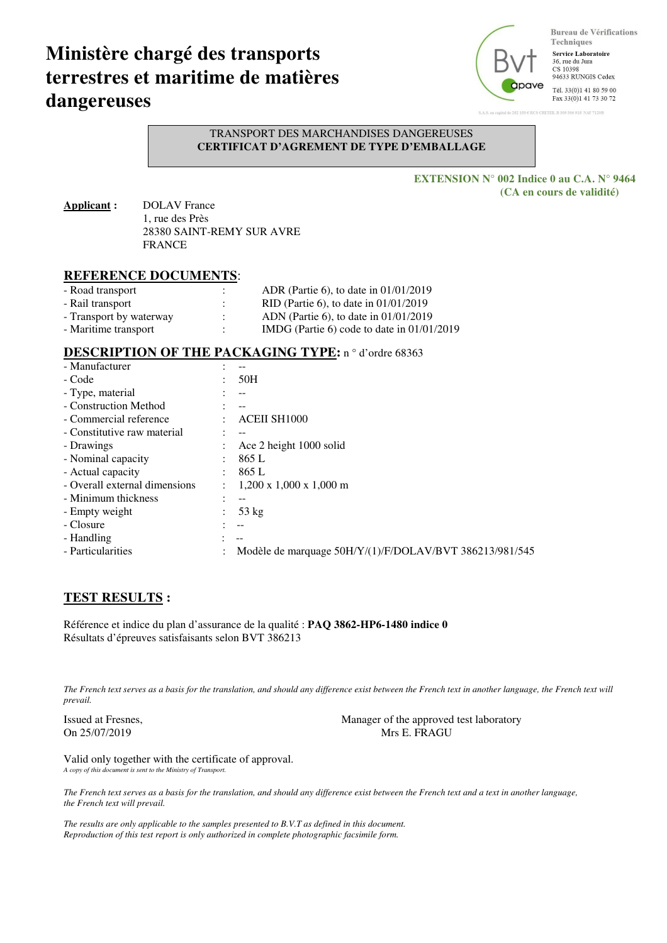# **Ministère chargé des transports terrestres et maritime de matières dangereuses**



**Bureau de Vérifications** Techniques **Service Laboratoire** 36 me du Jura CS 10398

94633 RUNGIS Cedex

Tél. 33(0)1 41 80 59 00 Fax 33(0)1 41 73 30 72

6.018 NAF 71703

TRANSPORT DES MARCHANDISES DANGEREUSES **CERTIFICAT D'AGREMENT DE TYPE D'EMBALLAGE** 

> **EXTENSION N° 002 Indice 0 au C.A. N° 9464 (CA en cours de validité)**

**Applicant :** DOLAV France 1, rue des Près 28380 SAINT-REMY SUR AVRE FRANCE

### **REFERENCE DOCUMENTS**:

| - Road transport        | ٠<br>$\bullet$ | ADR (Partie 6), to date in $01/01/2019$      |
|-------------------------|----------------|----------------------------------------------|
| - Rail transport        | ٠<br>٠         | RID (Partie 6), to date in $01/01/2019$      |
| - Transport by waterway | ٠              | ADN (Partie 6), to date in $01/01/2019$      |
| - Maritime transport    |                | IMDG (Partie 6) code to date in $01/01/2019$ |

### DESCRIPTION OF THE PACKAGING TYPE: n<sup>o</sup> d'ordre 68363

| - Manufacturer                |                      |                                                         |
|-------------------------------|----------------------|---------------------------------------------------------|
| - Code                        |                      | 50H                                                     |
| - Type, material              |                      | --                                                      |
| - Construction Method         |                      |                                                         |
| - Commercial reference        |                      | <b>ACEII SH1000</b>                                     |
| - Constitutive raw material   |                      |                                                         |
| - Drawings                    |                      | Ace 2 height 1000 solid                                 |
| - Nominal capacity            | $\bullet$            | 865 L                                                   |
| - Actual capacity             |                      | 865 L                                                   |
| - Overall external dimensions | $\ddot{\phantom{0}}$ | $1,200 \times 1,000 \times 1,000 \text{ m}$             |
| - Minimum thickness           |                      |                                                         |
| - Empty weight                |                      | $53 \text{ kg}$                                         |
| - Closure                     |                      | $- -$                                                   |
| - Handling                    |                      |                                                         |
| - Particularities             |                      | Modèle de marquage 50H/Y/(1)/F/DOLAV/BVT 386213/981/545 |

## **TEST RESULTS :**

Référence et indice du plan d'assurance de la qualité : **PAQ 3862-HP6-1480 indice 0** Résultats d'épreuves satisfaisants selon BVT 386213

*The French text serves as a basis for the translation, and should any difference exist between the French text in another language, the French text will prevail.* 

Issued at Fresnes, Manager of the approved test laboratory On 25/07/2019 Mrs E. FRAGU

Valid only together with the certificate of approval. *A copy of this document is sent to the Ministry of Transport.*

*The French text serves as a basis for the translation, and should any difference exist between the French text and a text in another language, the French text will prevail.* 

*The results are only applicable to the samples presented to B.V.T as defined in this document. Reproduction of this test report is only authorized in complete photographic facsimile form.*